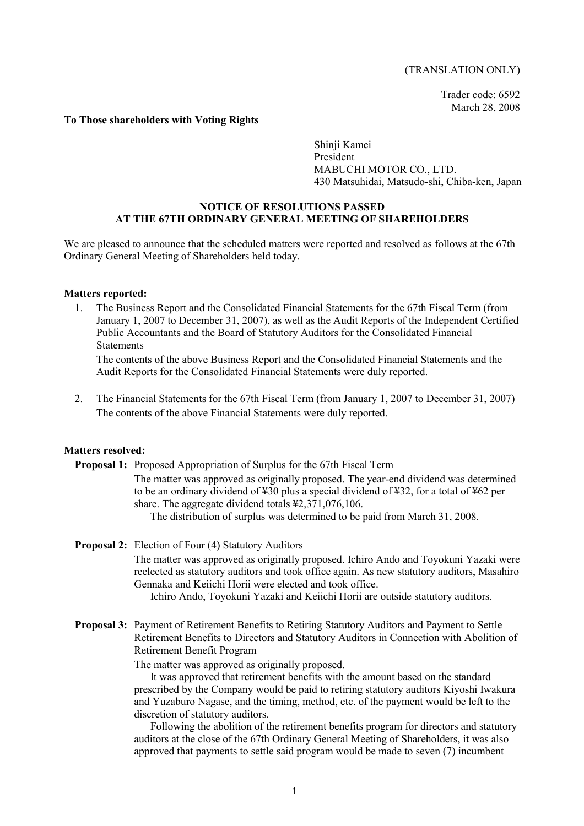# (TRANSLATION ONLY)

Trader code: 6592 March 28, 2008

### **To Those shareholders with Voting Rights**

Shinji Kamei President MABUCHI MOTOR CO., LTD. 430 Matsuhidai, Matsudo-shi, Chiba-ken, Japan

### **NOTICE OF RESOLUTIONS PASSED AT THE 67TH ORDINARY GENERAL MEETING OF SHAREHOLDERS**

We are pleased to announce that the scheduled matters were reported and resolved as follows at the 67th Ordinary General Meeting of Shareholders held today.

#### **Matters reported:**

1. The Business Report and the Consolidated Financial Statements for the 67th Fiscal Term (from January 1, 2007 to December 31, 2007), as well as the Audit Reports of the Independent Certified Public Accountants and the Board of Statutory Auditors for the Consolidated Financial **Statements** 

The contents of the above Business Report and the Consolidated Financial Statements and the Audit Reports for the Consolidated Financial Statements were duly reported.

2. The Financial Statements for the 67th Fiscal Term (from January 1, 2007 to December 31, 2007) The contents of the above Financial Statements were duly reported.

#### **Matters resolved:**

**Proposal 1:** Proposed Appropriation of Surplus for the 67th Fiscal Term

The matter was approved as originally proposed. The year-end dividend was determined to be an ordinary dividend of ¥30 plus a special dividend of ¥32, for a total of ¥62 per share. The aggregate dividend totals ¥2,371,076,106.

The distribution of surplus was determined to be paid from March 31, 2008.

**Proposal 2:** Election of Four (4) Statutory Auditors

The matter was approved as originally proposed. Ichiro Ando and Toyokuni Yazaki were reelected as statutory auditors and took office again. As new statutory auditors, Masahiro Gennaka and Keiichi Horii were elected and took office.

Ichiro Ando, Toyokuni Yazaki and Keiichi Horii are outside statutory auditors.

**Proposal 3:** Payment of Retirement Benefits to Retiring Statutory Auditors and Payment to Settle Retirement Benefits to Directors and Statutory Auditors in Connection with Abolition of Retirement Benefit Program

The matter was approved as originally proposed.

 It was approved that retirement benefits with the amount based on the standard prescribed by the Company would be paid to retiring statutory auditors Kiyoshi Iwakura and Yuzaburo Nagase, and the timing, method, etc. of the payment would be left to the discretion of statutory auditors.

 Following the abolition of the retirement benefits program for directors and statutory auditors at the close of the 67th Ordinary General Meeting of Shareholders, it was also approved that payments to settle said program would be made to seven (7) incumbent